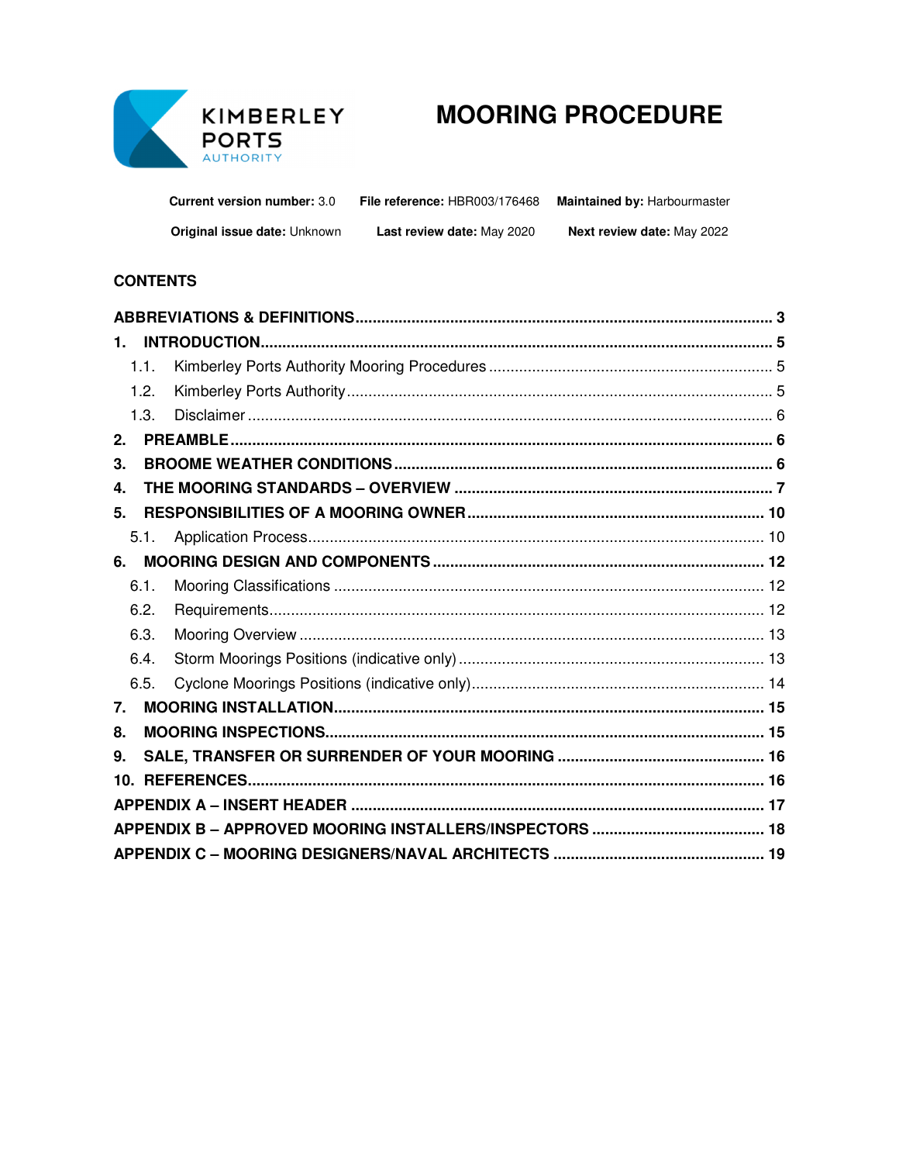

# **MOORING PROCEDURE**

| <b>Current version number: 3.0</b>  | File reference: HBR003/176468 | <b>Maintained by: Harbourmaster</b> |
|-------------------------------------|-------------------------------|-------------------------------------|
| <b>Original issue date: Unknown</b> | Last review date: May 2020    | <b>Next review date: May 2022</b>   |

## **CONTENTS**

| 1. |      |  |
|----|------|--|
|    | 1.1. |  |
|    | 1.2. |  |
|    | 1.3. |  |
| 2. |      |  |
| 3. |      |  |
| 4. |      |  |
| 5. |      |  |
|    | 5.1. |  |
| 6. |      |  |
|    | 6.1. |  |
|    | 6.2. |  |
|    | 6.3. |  |
|    | 6.4. |  |
|    | 6.5. |  |
| 7. |      |  |
| 8. |      |  |
| 9. |      |  |
|    |      |  |
|    |      |  |
|    |      |  |
|    |      |  |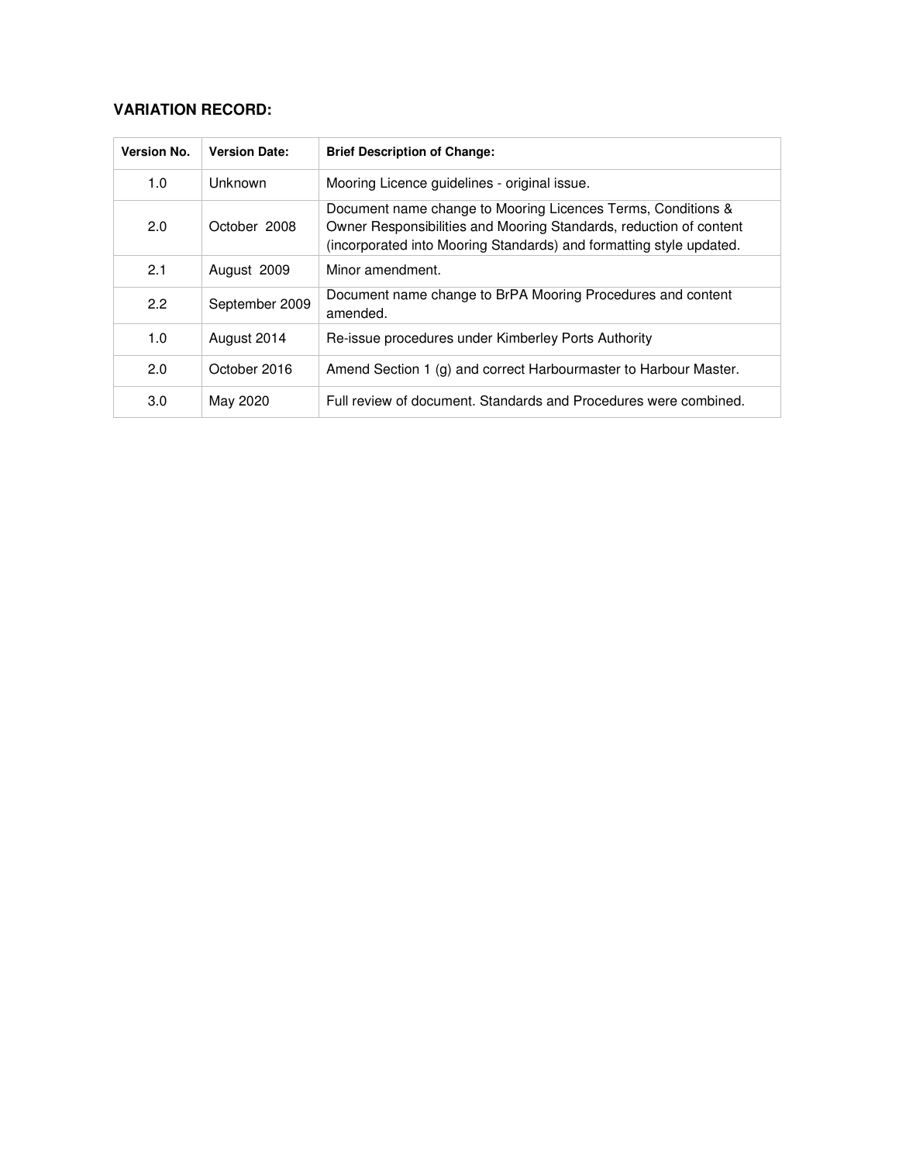# **VARIATION RECORD:**

| <b>Version No.</b> | <b>Version Date:</b> | <b>Brief Description of Change:</b>                                                                                                                                                                       |
|--------------------|----------------------|-----------------------------------------------------------------------------------------------------------------------------------------------------------------------------------------------------------|
| 1.0                | Unknown              | Mooring Licence guidelines - original issue.                                                                                                                                                              |
| 2.0                | October 2008         | Document name change to Mooring Licences Terms, Conditions &<br>Owner Responsibilities and Mooring Standards, reduction of content<br>(incorporated into Mooring Standards) and formatting style updated. |
| 2.1                | August 2009          | Minor amendment.                                                                                                                                                                                          |
| 2.2                | September 2009       | Document name change to BrPA Mooring Procedures and content<br>amended.                                                                                                                                   |
| 1.0                | August 2014          | Re-issue procedures under Kimberley Ports Authority                                                                                                                                                       |
| 2.0                | October 2016         | Amend Section 1 (g) and correct Harbourmaster to Harbour Master.                                                                                                                                          |
| 3.0                | May 2020             | Full review of document. Standards and Procedures were combined.                                                                                                                                          |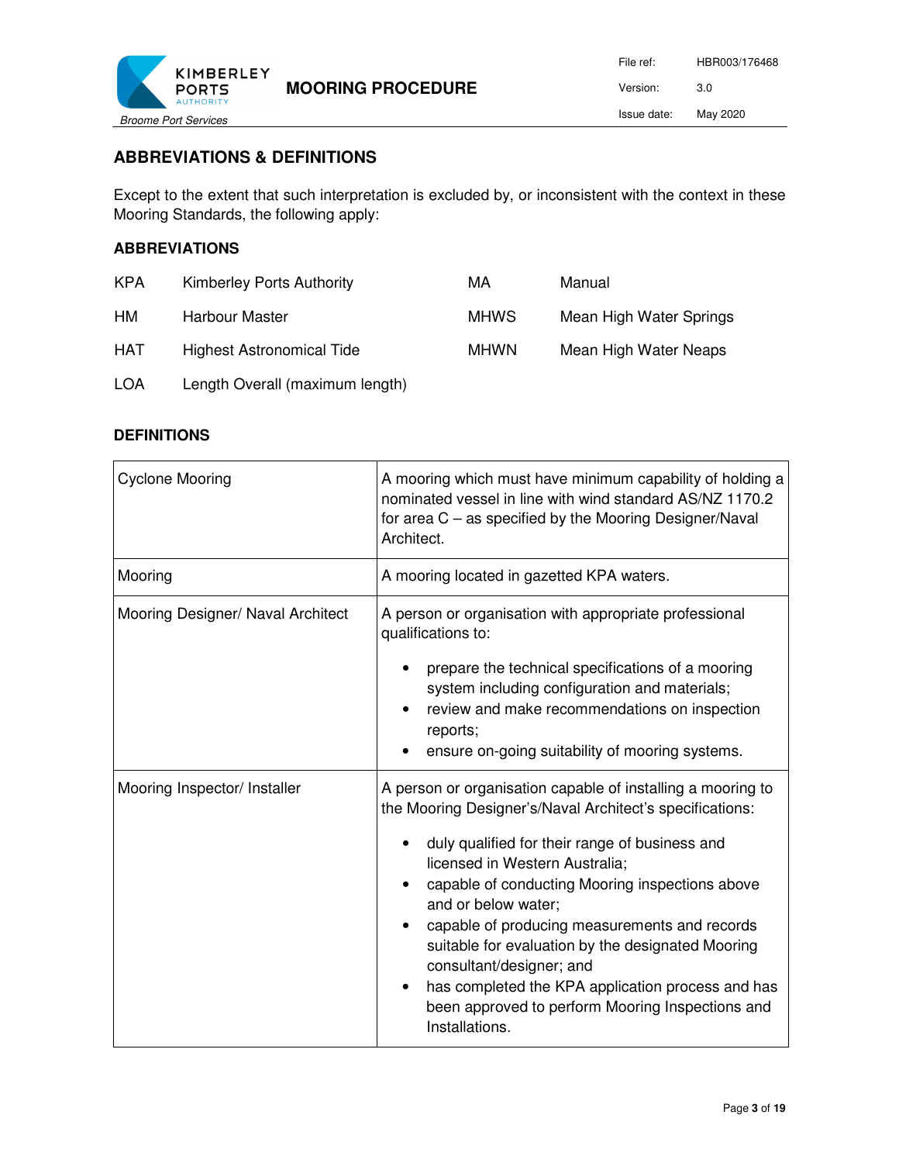

# **ABBREVIATIONS & DEFINITIONS**

Except to the extent that such interpretation is excluded by, or inconsistent with the context in these Mooring Standards, the following apply:

#### **ABBREVIATIONS**

| <b>KPA</b> | Kimberley Ports Authority        | МA          | Manual                  |
|------------|----------------------------------|-------------|-------------------------|
| HM         | Harbour Master                   | <b>MHWS</b> | Mean High Water Springs |
| <b>HAT</b> | <b>Highest Astronomical Tide</b> | <b>MHWN</b> | Mean High Water Neaps   |
| <b>LOA</b> | Length Overall (maximum length)  |             |                         |

#### **DEFINITIONS**

| <b>Cyclone Mooring</b>            | A mooring which must have minimum capability of holding a<br>nominated vessel in line with wind standard AS/NZ 1170.2<br>for area $C -$ as specified by the Mooring Designer/Naval<br>Architect.                                                                                                                                                                                                                                                                                                                                                                             |  |
|-----------------------------------|------------------------------------------------------------------------------------------------------------------------------------------------------------------------------------------------------------------------------------------------------------------------------------------------------------------------------------------------------------------------------------------------------------------------------------------------------------------------------------------------------------------------------------------------------------------------------|--|
| Mooring                           | A mooring located in gazetted KPA waters.                                                                                                                                                                                                                                                                                                                                                                                                                                                                                                                                    |  |
| Mooring Designer/ Naval Architect | A person or organisation with appropriate professional<br>qualifications to:<br>prepare the technical specifications of a mooring<br>system including configuration and materials;<br>review and make recommendations on inspection<br>reports;<br>ensure on-going suitability of mooring systems.                                                                                                                                                                                                                                                                           |  |
| Mooring Inspector/ Installer      | A person or organisation capable of installing a mooring to<br>the Mooring Designer's/Naval Architect's specifications:<br>duly qualified for their range of business and<br>licensed in Western Australia;<br>capable of conducting Mooring inspections above<br>and or below water;<br>capable of producing measurements and records<br>$\bullet$<br>suitable for evaluation by the designated Mooring<br>consultant/designer; and<br>has completed the KPA application process and has<br>$\bullet$<br>been approved to perform Mooring Inspections and<br>Installations. |  |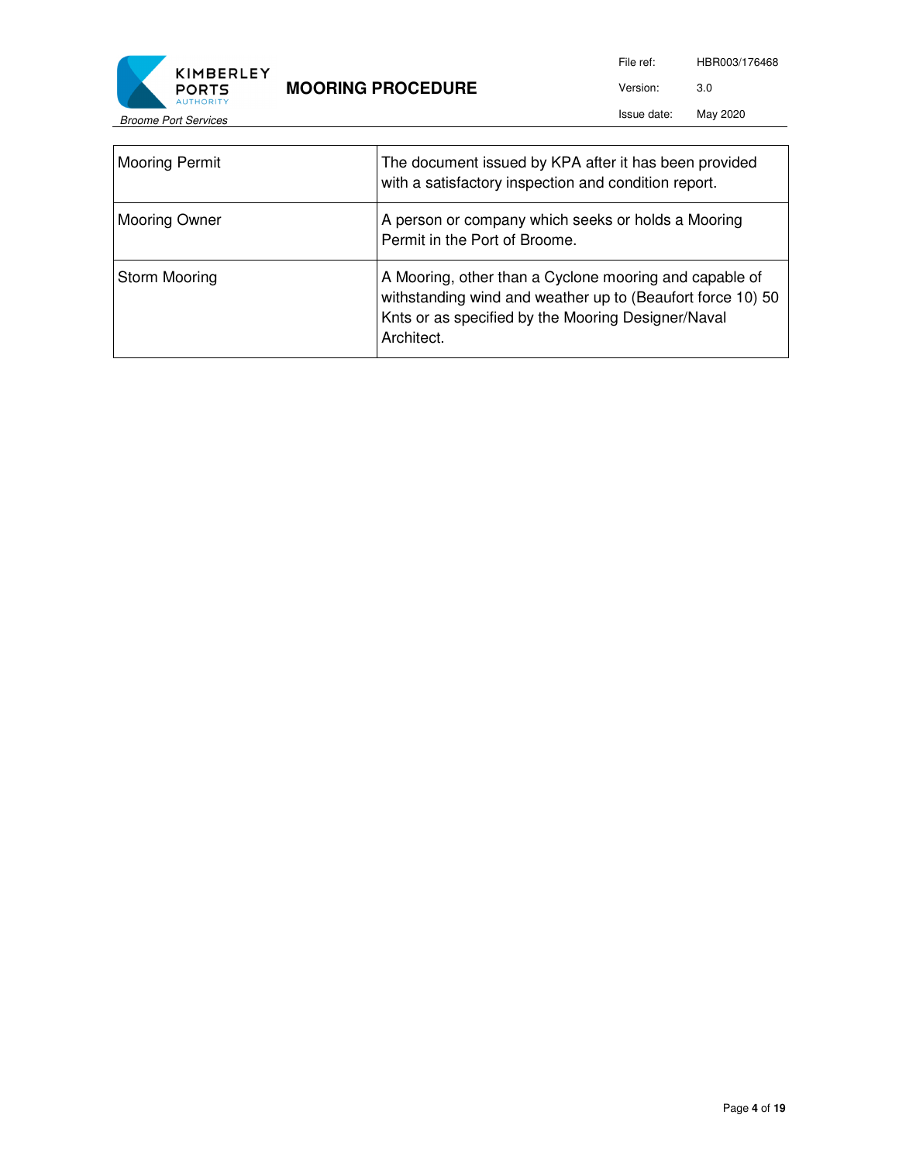



File ref: HBR003/176468 Version: 3.0

Issue date: May 2020

| <b>Mooring Permit</b> | The document issued by KPA after it has been provided<br>with a satisfactory inspection and condition report.                                                                            |
|-----------------------|------------------------------------------------------------------------------------------------------------------------------------------------------------------------------------------|
| <b>Mooring Owner</b>  | A person or company which seeks or holds a Mooring<br>Permit in the Port of Broome.                                                                                                      |
| Storm Mooring         | A Mooring, other than a Cyclone mooring and capable of<br>withstanding wind and weather up to (Beaufort force 10) 50<br>Knts or as specified by the Mooring Designer/Naval<br>Architect. |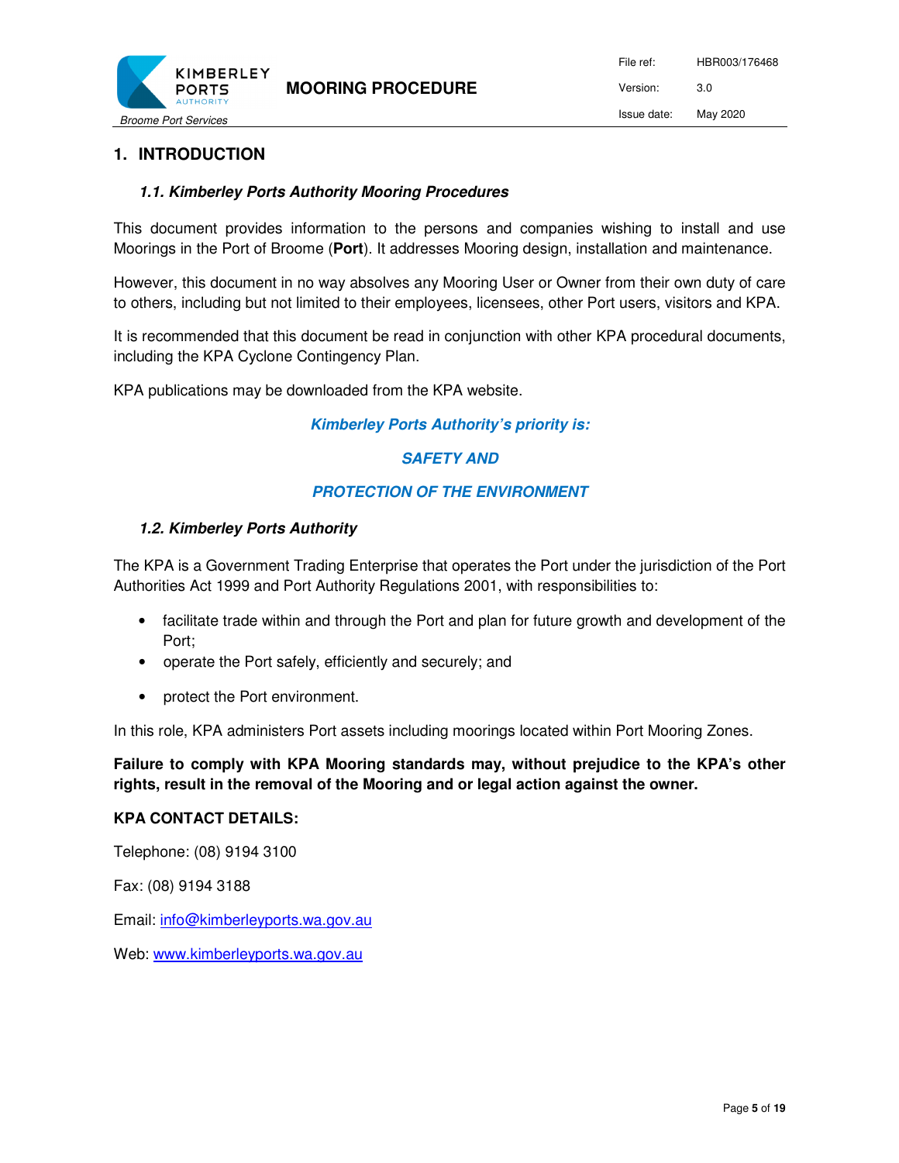

# **1. INTRODUCTION**

#### *1.1. Kimberley Ports Authority Mooring Procedures*

This document provides information to the persons and companies wishing to install and use Moorings in the Port of Broome (**Port**). It addresses Mooring design, installation and maintenance.

However, this document in no way absolves any Mooring User or Owner from their own duty of care to others, including but not limited to their employees, licensees, other Port users, visitors and KPA.

It is recommended that this document be read in conjunction with other KPA procedural documents, including the KPA Cyclone Contingency Plan.

KPA publications may be downloaded from the KPA website.

#### *Kimberley Ports Authority's priority is:*

#### *SAFETY AND*

#### *PROTECTION OF THE ENVIRONMENT*

#### *1.2. Kimberley Ports Authority*

The KPA is a Government Trading Enterprise that operates the Port under the jurisdiction of the Port Authorities Act 1999 and Port Authority Regulations 2001, with responsibilities to:

- facilitate trade within and through the Port and plan for future growth and development of the Port;
- operate the Port safely, efficiently and securely; and
- protect the Port environment.

In this role, KPA administers Port assets including moorings located within Port Mooring Zones.

**Failure to comply with KPA Mooring standards may, without prejudice to the KPA's other rights, result in the removal of the Mooring and or legal action against the owner.** 

#### **KPA CONTACT DETAILS:**

Telephone: (08) 9194 3100

Fax: (08) 9194 3188

Email: info@kimberleyports.wa.gov.au

Web: www.kimberleyports.wa.gov.au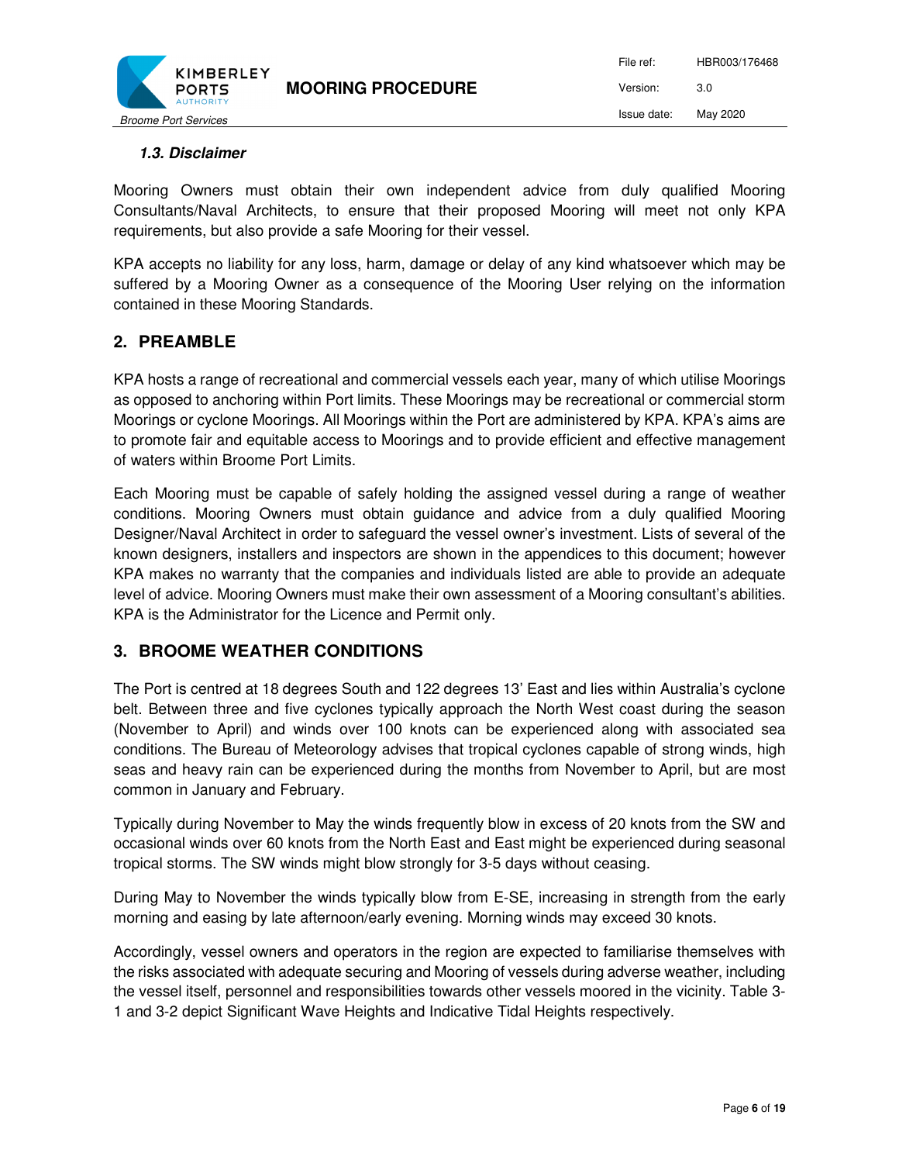

# *1.3. Disclaimer*

Mooring Owners must obtain their own independent advice from duly qualified Mooring Consultants/Naval Architects, to ensure that their proposed Mooring will meet not only KPA requirements, but also provide a safe Mooring for their vessel.

KPA accepts no liability for any loss, harm, damage or delay of any kind whatsoever which may be suffered by a Mooring Owner as a consequence of the Mooring User relying on the information contained in these Mooring Standards.

# **2. PREAMBLE**

KPA hosts a range of recreational and commercial vessels each year, many of which utilise Moorings as opposed to anchoring within Port limits. These Moorings may be recreational or commercial storm Moorings or cyclone Moorings. All Moorings within the Port are administered by KPA. KPA's aims are to promote fair and equitable access to Moorings and to provide efficient and effective management of waters within Broome Port Limits.

Each Mooring must be capable of safely holding the assigned vessel during a range of weather conditions. Mooring Owners must obtain guidance and advice from a duly qualified Mooring Designer/Naval Architect in order to safeguard the vessel owner's investment. Lists of several of the known designers, installers and inspectors are shown in the appendices to this document; however KPA makes no warranty that the companies and individuals listed are able to provide an adequate level of advice. Mooring Owners must make their own assessment of a Mooring consultant's abilities. KPA is the Administrator for the Licence and Permit only.

## **3. BROOME WEATHER CONDITIONS**

The Port is centred at 18 degrees South and 122 degrees 13' East and lies within Australia's cyclone belt. Between three and five cyclones typically approach the North West coast during the season (November to April) and winds over 100 knots can be experienced along with associated sea conditions. The Bureau of Meteorology advises that tropical cyclones capable of strong winds, high seas and heavy rain can be experienced during the months from November to April, but are most common in January and February.

Typically during November to May the winds frequently blow in excess of 20 knots from the SW and occasional winds over 60 knots from the North East and East might be experienced during seasonal tropical storms. The SW winds might blow strongly for 3-5 days without ceasing.

During May to November the winds typically blow from E-SE, increasing in strength from the early morning and easing by late afternoon/early evening. Morning winds may exceed 30 knots.

Accordingly, vessel owners and operators in the region are expected to familiarise themselves with the risks associated with adequate securing and Mooring of vessels during adverse weather, including the vessel itself, personnel and responsibilities towards other vessels moored in the vicinity. Table 3- 1 and 3-2 depict Significant Wave Heights and Indicative Tidal Heights respectively.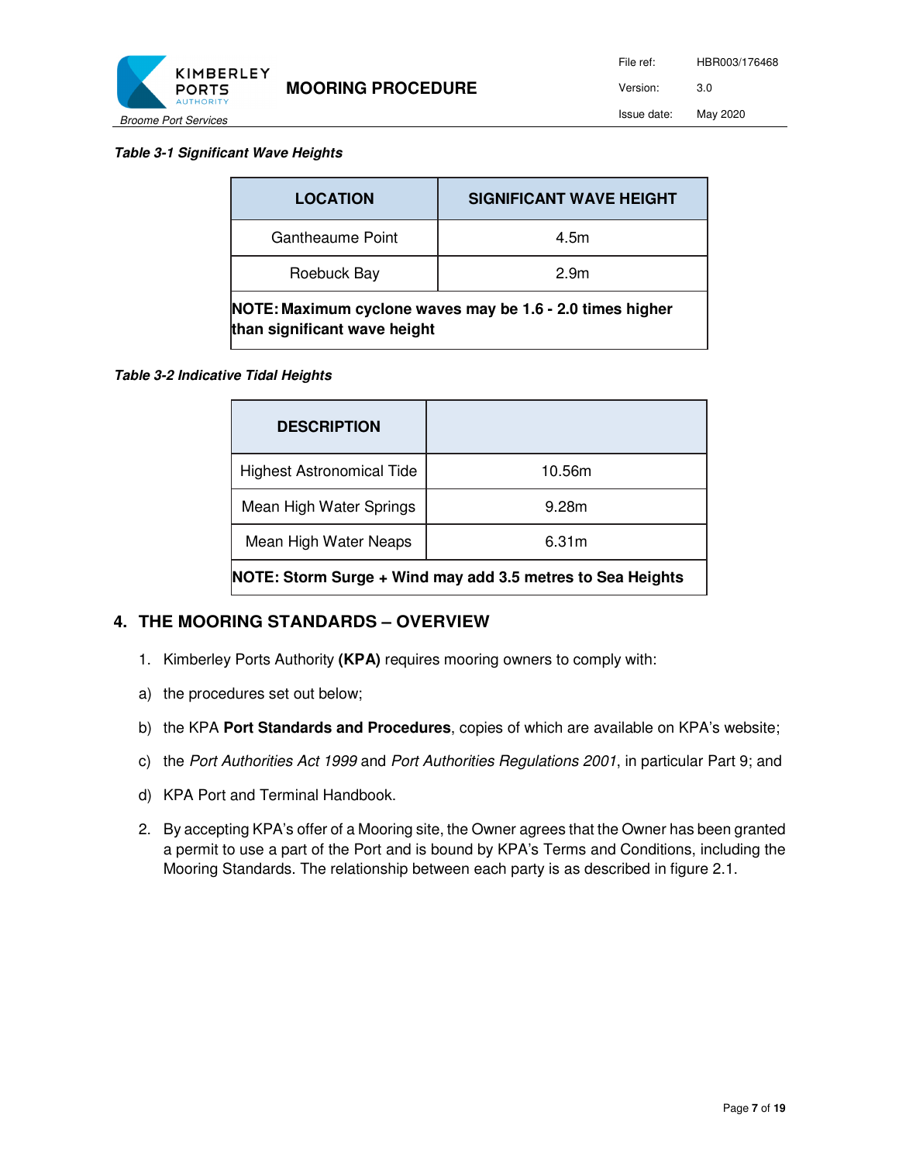

#### *Table 3-1 Significant Wave Heights*

| <b>LOCATION</b>                                                                           | <b>SIGNIFICANT WAVE HEIGHT</b> |
|-------------------------------------------------------------------------------------------|--------------------------------|
| Gantheaume Point                                                                          | 4.5m                           |
| Roebuck Bay                                                                               | 2.9 <sub>m</sub>               |
| NOTE: Maximum cyclone waves may be 1.6 - 2.0 times higher<br>than significant wave height |                                |

#### *Table 3-2 Indicative Tidal Heights*

| <b>DESCRIPTION</b>                                         |        |  |
|------------------------------------------------------------|--------|--|
| <b>Highest Astronomical Tide</b>                           | 10.56m |  |
| Mean High Water Springs                                    | 9.28m  |  |
| Mean High Water Neaps                                      | 6.31m  |  |
| NOTE: Storm Surge + Wind may add 3.5 metres to Sea Heights |        |  |

## **4. THE MOORING STANDARDS – OVERVIEW**

- 1. Kimberley Ports Authority **(KPA)** requires mooring owners to comply with:
- a) the procedures set out below;
- b) the KPA **Port Standards and Procedures**, copies of which are available on KPA's website;
- c) the Port Authorities Act 1999 and Port Authorities Regulations 2001, in particular Part 9; and
- d) KPA Port and Terminal Handbook.
- 2. By accepting KPA's offer of a Mooring site, the Owner agrees that the Owner has been granted a permit to use a part of the Port and is bound by KPA's Terms and Conditions, including the Mooring Standards. The relationship between each party is as described in figure 2.1.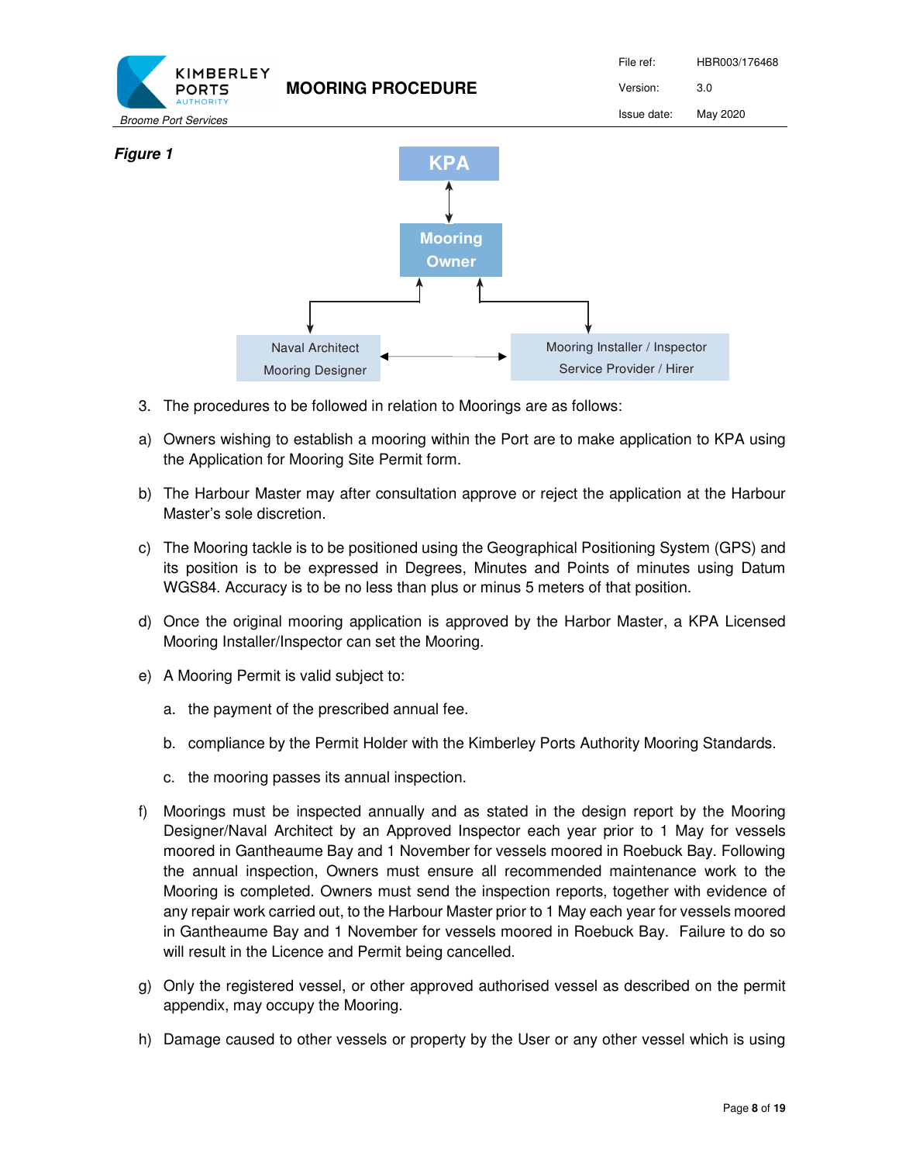

- 3. The procedures to be followed in relation to Moorings are as follows:
- a) Owners wishing to establish a mooring within the Port are to make application to KPA using the Application for Mooring Site Permit form.
- b) The Harbour Master may after consultation approve or reject the application at the Harbour Master's sole discretion.
- c) The Mooring tackle is to be positioned using the Geographical Positioning System (GPS) and its position is to be expressed in Degrees, Minutes and Points of minutes using Datum WGS84. Accuracy is to be no less than plus or minus 5 meters of that position.
- d) Once the original mooring application is approved by the Harbor Master, a KPA Licensed Mooring Installer/Inspector can set the Mooring.
- e) A Mooring Permit is valid subject to:
	- a. the payment of the prescribed annual fee.
	- b. compliance by the Permit Holder with the Kimberley Ports Authority Mooring Standards.
	- c. the mooring passes its annual inspection.
- f) Moorings must be inspected annually and as stated in the design report by the Mooring Designer/Naval Architect by an Approved Inspector each year prior to 1 May for vessels moored in Gantheaume Bay and 1 November for vessels moored in Roebuck Bay. Following the annual inspection, Owners must ensure all recommended maintenance work to the Mooring is completed. Owners must send the inspection reports, together with evidence of any repair work carried out, to the Harbour Master prior to 1 May each year for vessels moored in Gantheaume Bay and 1 November for vessels moored in Roebuck Bay. Failure to do so will result in the Licence and Permit being cancelled.
- g) Only the registered vessel, or other approved authorised vessel as described on the permit appendix, may occupy the Mooring.
- h) Damage caused to other vessels or property by the User or any other vessel which is using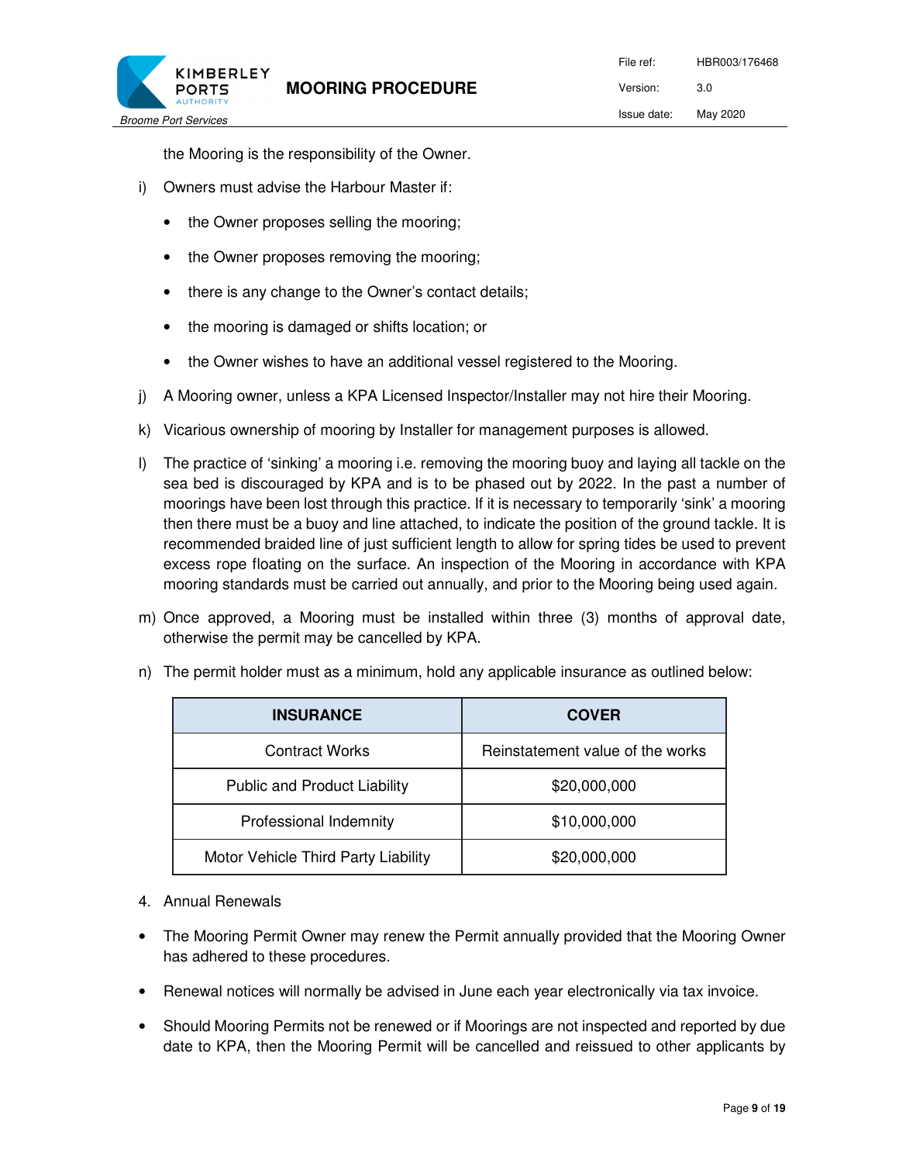

the Mooring is the responsibility of the Owner.

- i) Owners must advise the Harbour Master if:
	- the Owner proposes selling the mooring;
	- the Owner proposes removing the mooring;
	- there is any change to the Owner's contact details;
	- the mooring is damaged or shifts location; or
	- the Owner wishes to have an additional vessel registered to the Mooring.
- j) A Mooring owner, unless a KPA Licensed Inspector/Installer may not hire their Mooring.
- k) Vicarious ownership of mooring by Installer for management purposes is allowed.
- l) The practice of 'sinking' a mooring i.e. removing the mooring buoy and laying all tackle on the sea bed is discouraged by KPA and is to be phased out by 2022. In the past a number of moorings have been lost through this practice. If it is necessary to temporarily 'sink' a mooring then there must be a buoy and line attached, to indicate the position of the ground tackle. It is recommended braided line of just sufficient length to allow for spring tides be used to prevent excess rope floating on the surface. An inspection of the Mooring in accordance with KPA mooring standards must be carried out annually, and prior to the Mooring being used again.
- m) Once approved, a Mooring must be installed within three (3) months of approval date, otherwise the permit may be cancelled by KPA.

| <b>INSURANCE</b>                    | <b>COVER</b>                     |
|-------------------------------------|----------------------------------|
| <b>Contract Works</b>               | Reinstatement value of the works |
| Public and Product Liability        | \$20,000,000                     |
| Professional Indemnity              | \$10,000,000                     |
| Motor Vehicle Third Party Liability | \$20,000,000                     |

n) The permit holder must as a minimum, hold any applicable insurance as outlined below:

- 4. Annual Renewals
- The Mooring Permit Owner may renew the Permit annually provided that the Mooring Owner has adhered to these procedures.
- Renewal notices will normally be advised in June each year electronically via tax invoice.
- Should Mooring Permits not be renewed or if Moorings are not inspected and reported by due date to KPA, then the Mooring Permit will be cancelled and reissued to other applicants by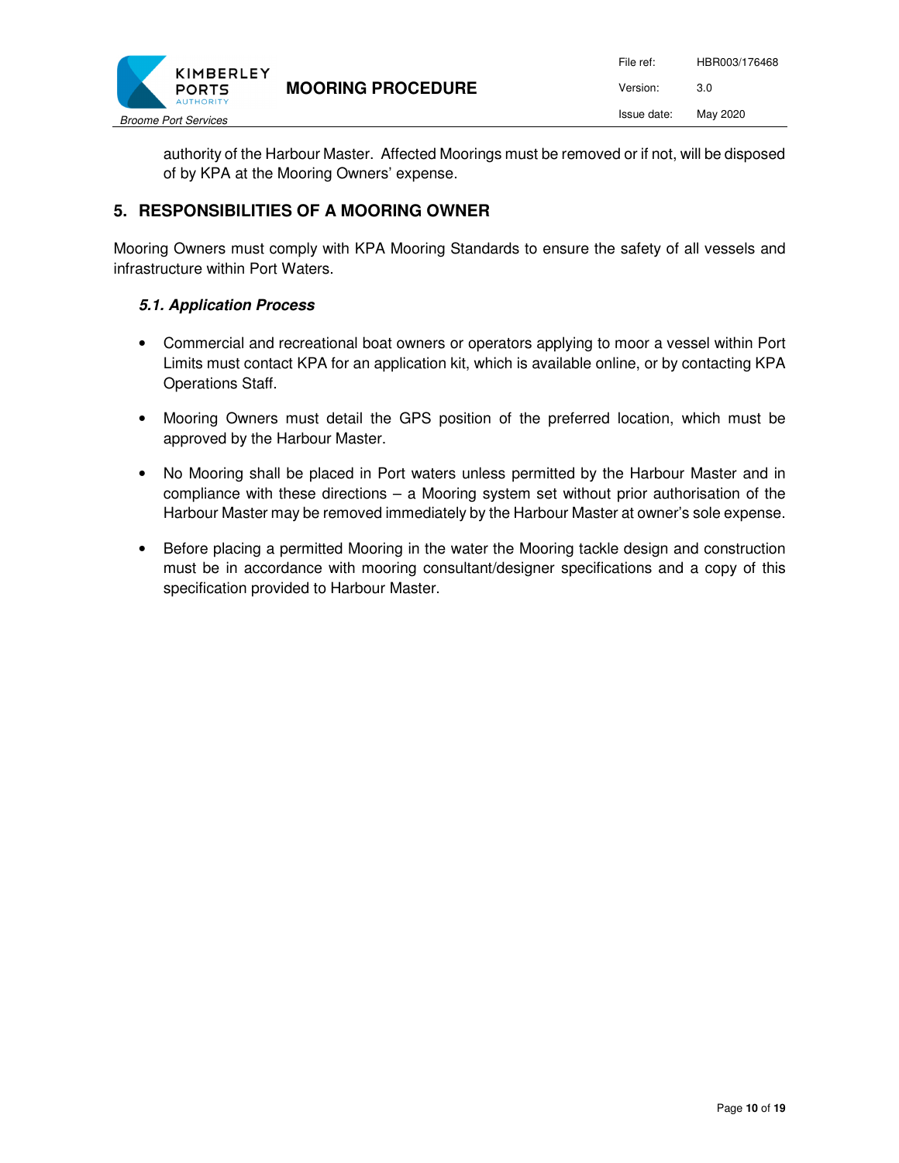

authority of the Harbour Master. Affected Moorings must be removed or if not, will be disposed of by KPA at the Mooring Owners' expense.

# **5. RESPONSIBILITIES OF A MOORING OWNER**

Mooring Owners must comply with KPA Mooring Standards to ensure the safety of all vessels and infrastructure within Port Waters.

## *5.1. Application Process*

- Commercial and recreational boat owners or operators applying to moor a vessel within Port Limits must contact KPA for an application kit, which is available online, or by contacting KPA Operations Staff.
- Mooring Owners must detail the GPS position of the preferred location, which must be approved by the Harbour Master.
- No Mooring shall be placed in Port waters unless permitted by the Harbour Master and in compliance with these directions  $-$  a Mooring system set without prior authorisation of the Harbour Master may be removed immediately by the Harbour Master at owner's sole expense.
- Before placing a permitted Mooring in the water the Mooring tackle design and construction must be in accordance with mooring consultant/designer specifications and a copy of this specification provided to Harbour Master.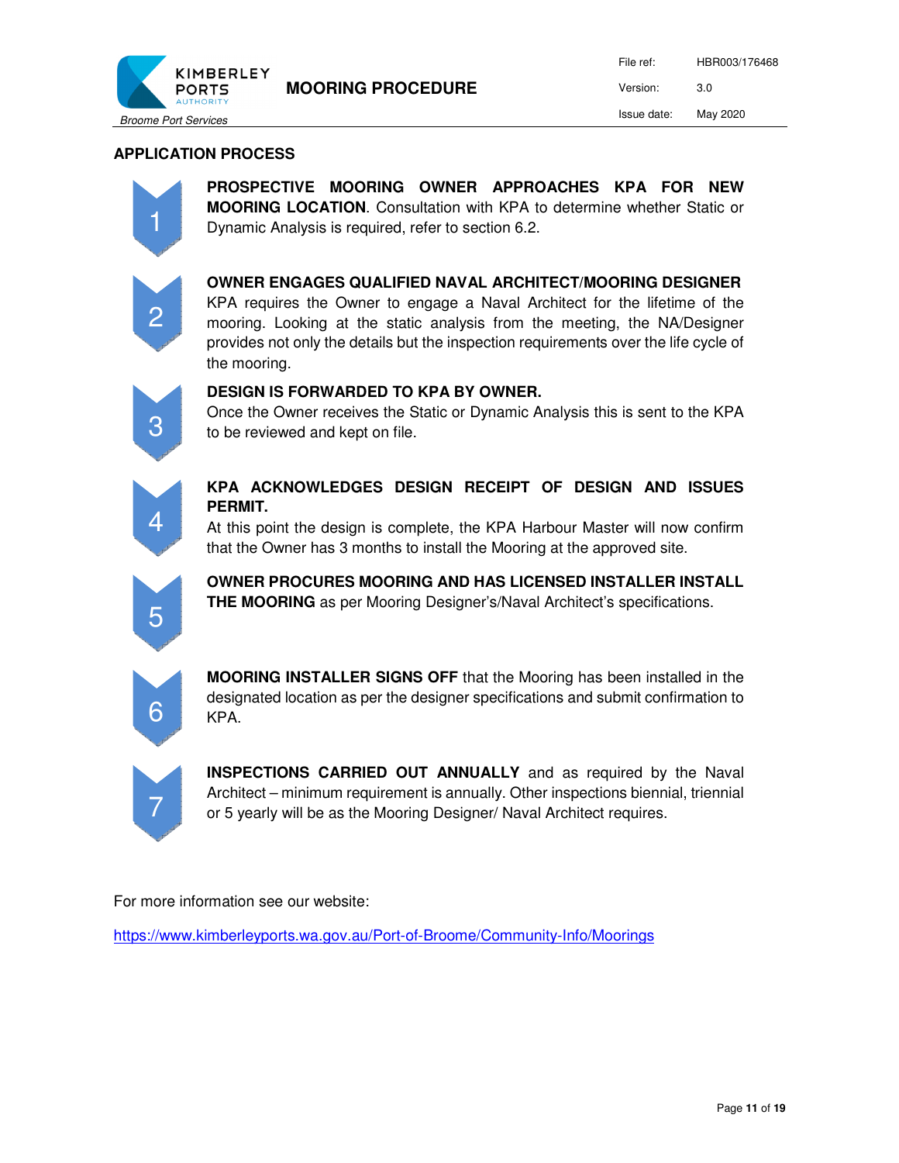

## **APPLICATION PROCESS**



**PROSPECTIVE MOORING OWNER APPROACHES KPA FOR NEW MOORING LOCATION**. Consultation with KPA to determine whether Static or Dynamic Analysis is required, refer to section 6.2.



**OWNER ENGAGES QUALIFIED NAVAL ARCHITECT/MOORING DESIGNER** 

KPA requires the Owner to engage a Naval Architect for the lifetime of the mooring. Looking at the static analysis from the meeting, the NA/Designer provides not only the details but the inspection requirements over the life cycle of the mooring.



#### **DESIGN IS FORWARDED TO KPA BY OWNER.**

Once the Owner receives the Static or Dynamic Analysis this is sent to the KPA to be reviewed and kept on file.



# **KPA ACKNOWLEDGES DESIGN RECEIPT OF DESIGN AND ISSUES PERMIT.**

At this point the design is complete, the KPA Harbour Master will now confirm that the Owner has 3 months to install the Mooring at the approved site.



**OWNER PROCURES MOORING AND HAS LICENSED INSTALLER INSTALL THE MOORING** as per Mooring Designer's/Naval Architect's specifications.



**MOORING INSTALLER SIGNS OFF** that the Mooring has been installed in the designated location as per the designer specifications and submit confirmation to KPA.



**INSPECTIONS CARRIED OUT ANNUALLY** and as required by the Naval Architect – minimum requirement is annually. Other inspections biennial, triennial or 5 yearly will be as the Mooring Designer/ Naval Architect requires.

For more information see our website:

https://www.kimberleyports.wa.gov.au/Port-of-Broome/Community-Info/Moorings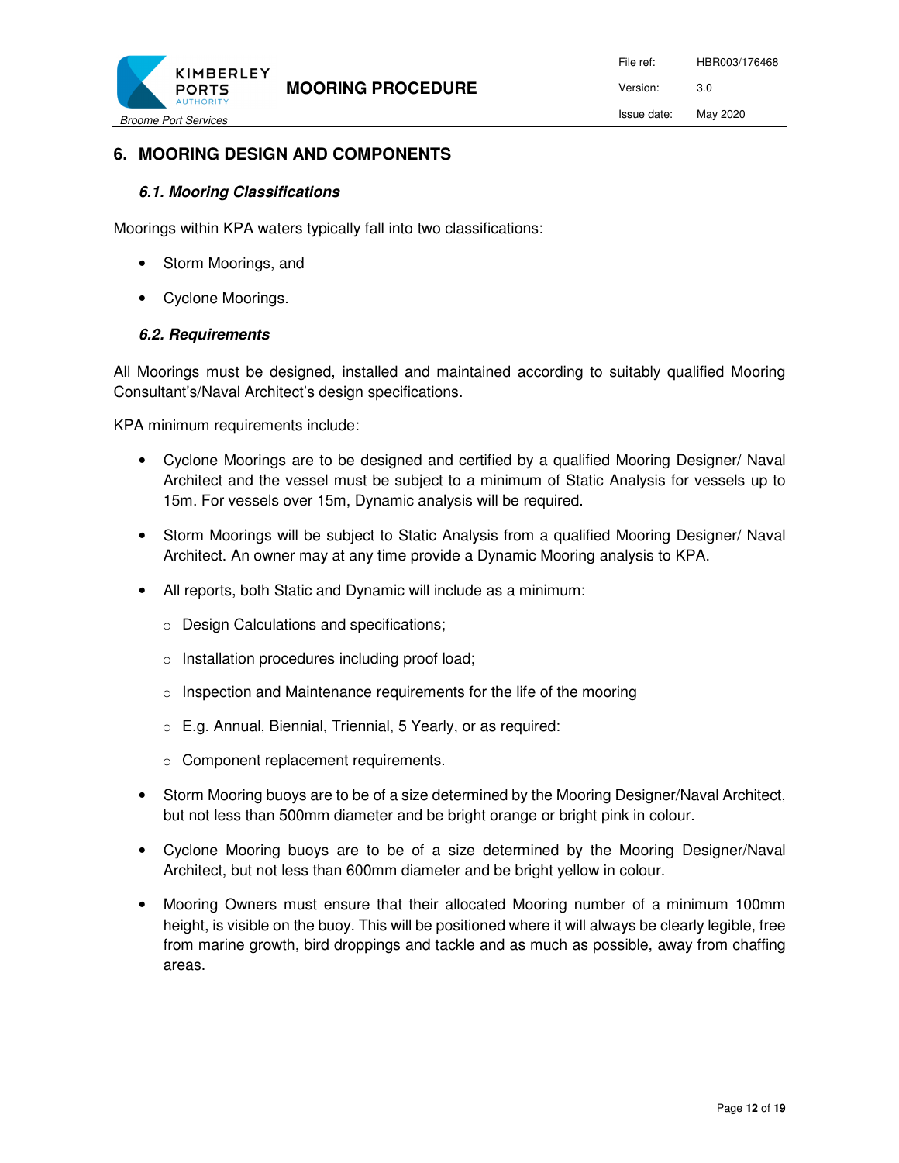

# **6. MOORING DESIGN AND COMPONENTS**

## *6.1. Mooring Classifications*

Moorings within KPA waters typically fall into two classifications:

- Storm Moorings, and
- Cyclone Moorings.

#### *6.2. Requirements*

All Moorings must be designed, installed and maintained according to suitably qualified Mooring Consultant's/Naval Architect's design specifications.

KPA minimum requirements include:

- Cyclone Moorings are to be designed and certified by a qualified Mooring Designer/ Naval Architect and the vessel must be subject to a minimum of Static Analysis for vessels up to 15m. For vessels over 15m, Dynamic analysis will be required.
- Storm Moorings will be subject to Static Analysis from a qualified Mooring Designer/ Naval Architect. An owner may at any time provide a Dynamic Mooring analysis to KPA.
- All reports, both Static and Dynamic will include as a minimum:
	- o Design Calculations and specifications;
	- o Installation procedures including proof load;
	- $\circ$  Inspection and Maintenance requirements for the life of the mooring
	- o E.g. Annual, Biennial, Triennial, 5 Yearly, or as required:
	- o Component replacement requirements.
- Storm Mooring buoys are to be of a size determined by the Mooring Designer/Naval Architect, but not less than 500mm diameter and be bright orange or bright pink in colour.
- Cyclone Mooring buoys are to be of a size determined by the Mooring Designer/Naval Architect, but not less than 600mm diameter and be bright yellow in colour.
- Mooring Owners must ensure that their allocated Mooring number of a minimum 100mm height, is visible on the buoy. This will be positioned where it will always be clearly legible, free from marine growth, bird droppings and tackle and as much as possible, away from chaffing areas.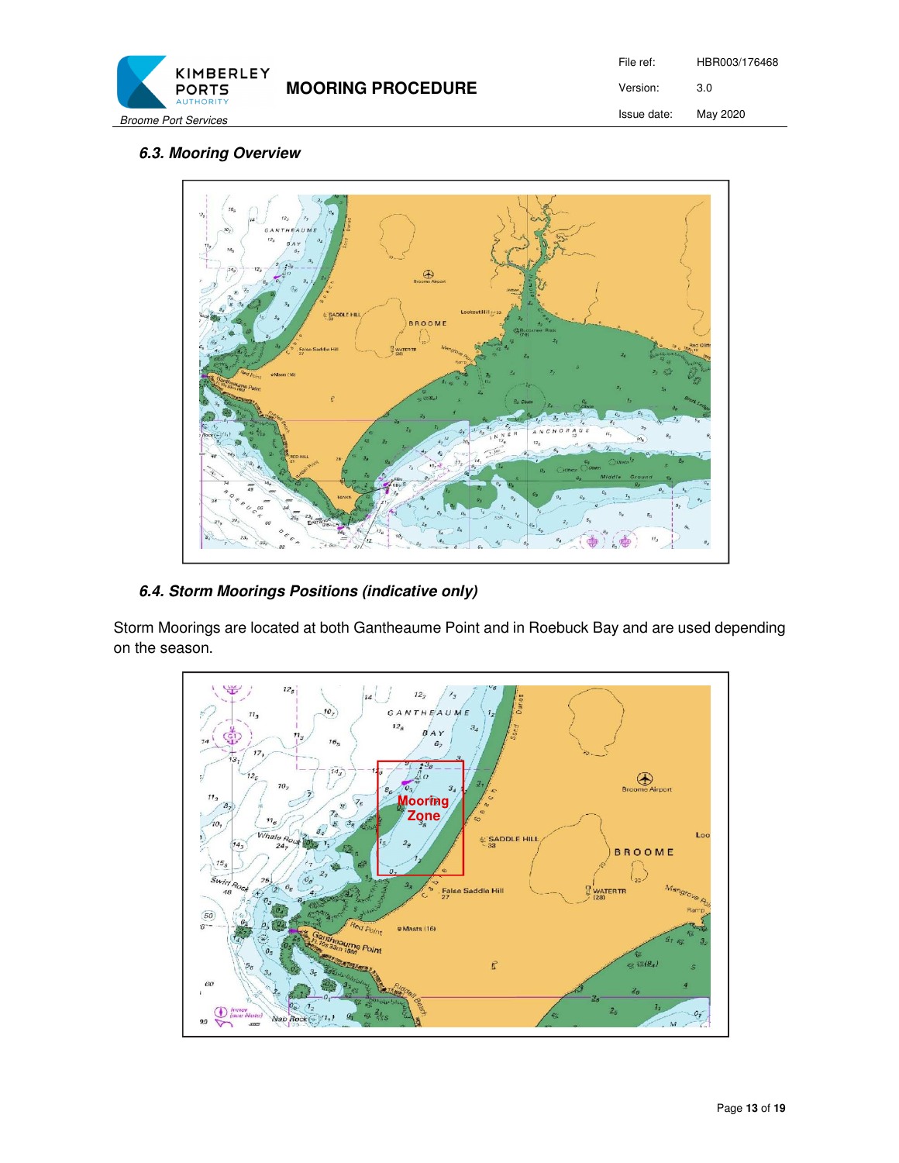

File ref: HBR003/176468 Version: 3.0 Issue date: May 2020

## *6.3. Mooring Overview*



# *6.4. Storm Moorings Positions (indicative only)*

Storm Moorings are located at both Gantheaume Point and in Roebuck Bay and are used depending on the season.

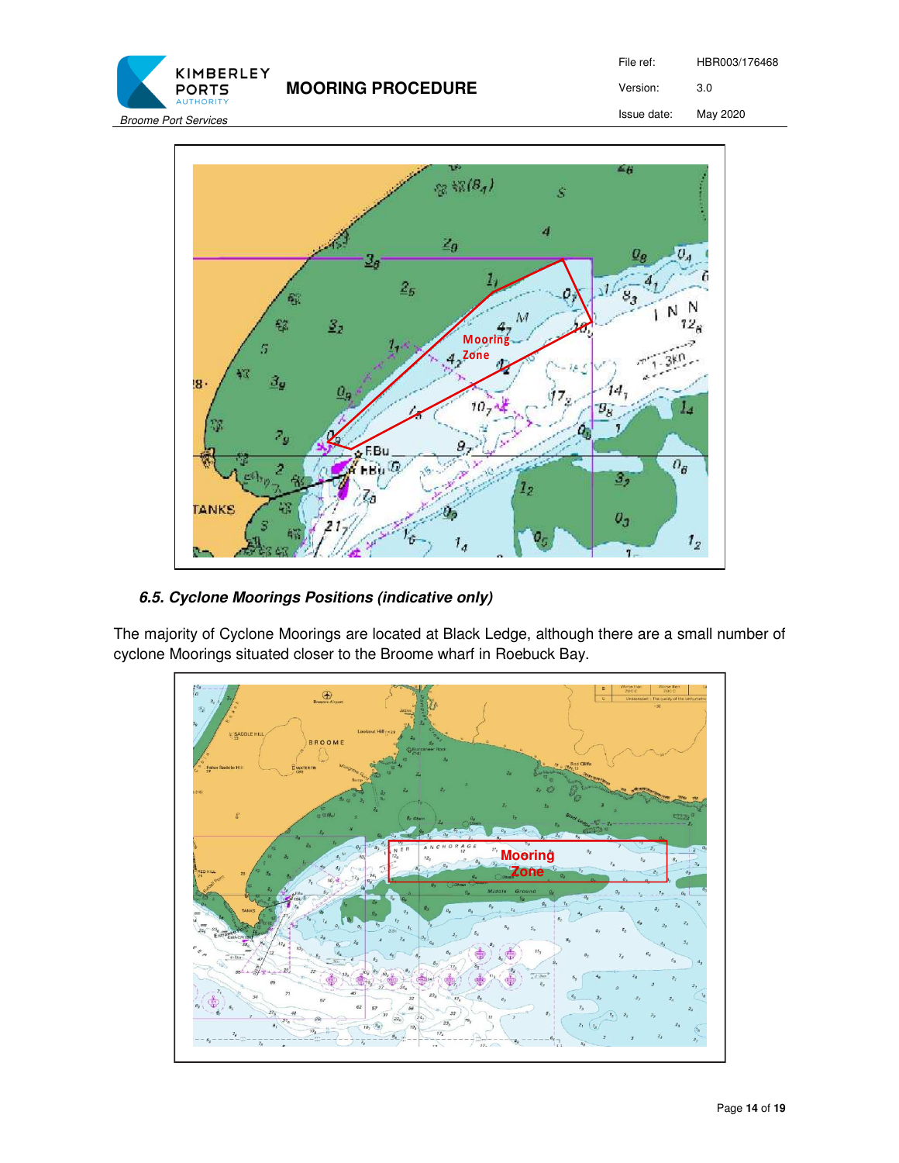**MOORING PROCEDURE** 

File ref: HBR003/176468 Version: 3.0

Issue date: May 2020



# *6.5. Cyclone Moorings Positions (indicative only)*

KIMBERLEY **PORTS** 

The majority of Cyclone Moorings are located at Black Ledge, although there are a small number of cyclone Moorings situated closer to the Broome wharf in Roebuck Bay.

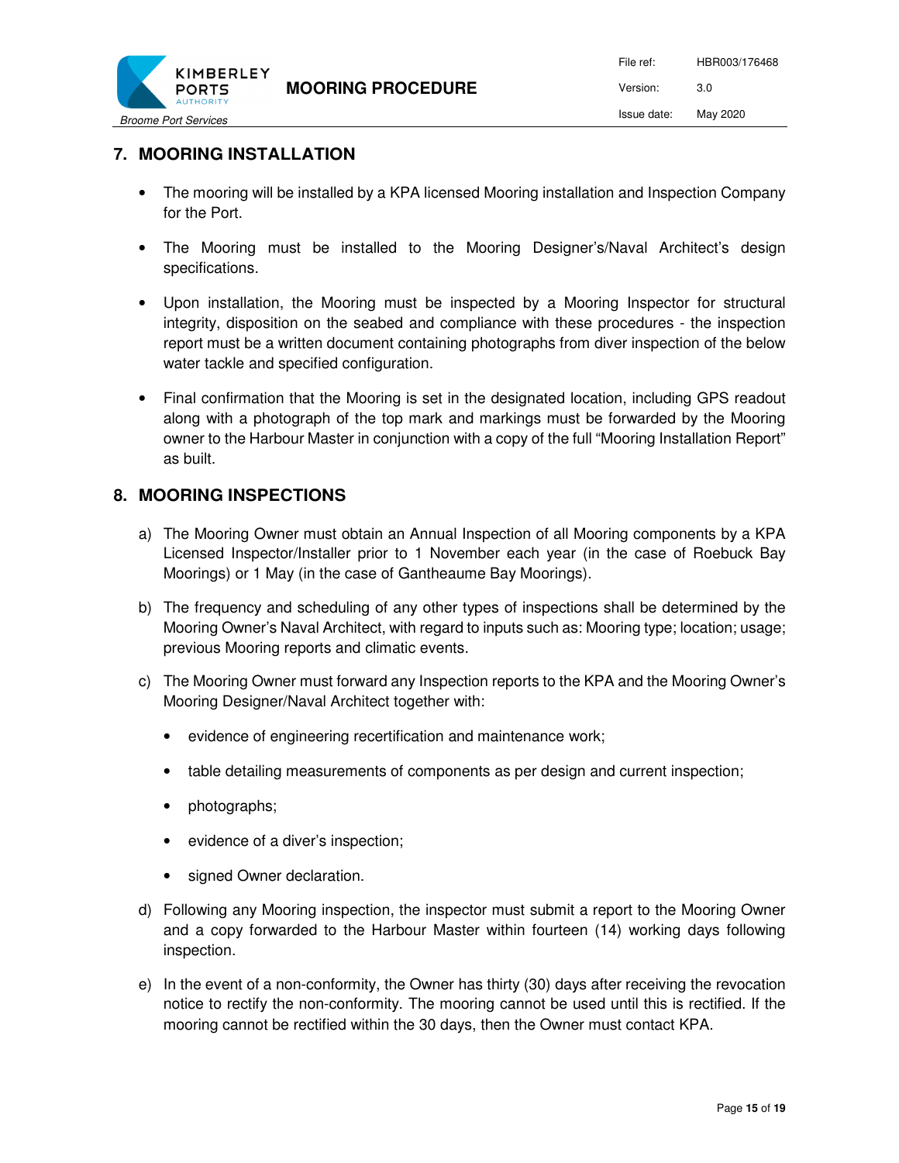

# **7. MOORING INSTALLATION**

- The mooring will be installed by a KPA licensed Mooring installation and Inspection Company for the Port.
- The Mooring must be installed to the Mooring Designer's/Naval Architect's design specifications.
- Upon installation, the Mooring must be inspected by a Mooring Inspector for structural integrity, disposition on the seabed and compliance with these procedures - the inspection report must be a written document containing photographs from diver inspection of the below water tackle and specified configuration.
- Final confirmation that the Mooring is set in the designated location, including GPS readout along with a photograph of the top mark and markings must be forwarded by the Mooring owner to the Harbour Master in conjunction with a copy of the full "Mooring Installation Report" as built.

## **8. MOORING INSPECTIONS**

- a) The Mooring Owner must obtain an Annual Inspection of all Mooring components by a KPA Licensed Inspector/Installer prior to 1 November each year (in the case of Roebuck Bay Moorings) or 1 May (in the case of Gantheaume Bay Moorings).
- b) The frequency and scheduling of any other types of inspections shall be determined by the Mooring Owner's Naval Architect, with regard to inputs such as: Mooring type; location; usage; previous Mooring reports and climatic events.
- c) The Mooring Owner must forward any Inspection reports to the KPA and the Mooring Owner's Mooring Designer/Naval Architect together with:
	- evidence of engineering recertification and maintenance work;
	- table detailing measurements of components as per design and current inspection;
	- photographs;
	- evidence of a diver's inspection;
	- signed Owner declaration.
- d) Following any Mooring inspection, the inspector must submit a report to the Mooring Owner and a copy forwarded to the Harbour Master within fourteen (14) working days following inspection.
- e) In the event of a non-conformity, the Owner has thirty (30) days after receiving the revocation notice to rectify the non-conformity. The mooring cannot be used until this is rectified. If the mooring cannot be rectified within the 30 days, then the Owner must contact KPA.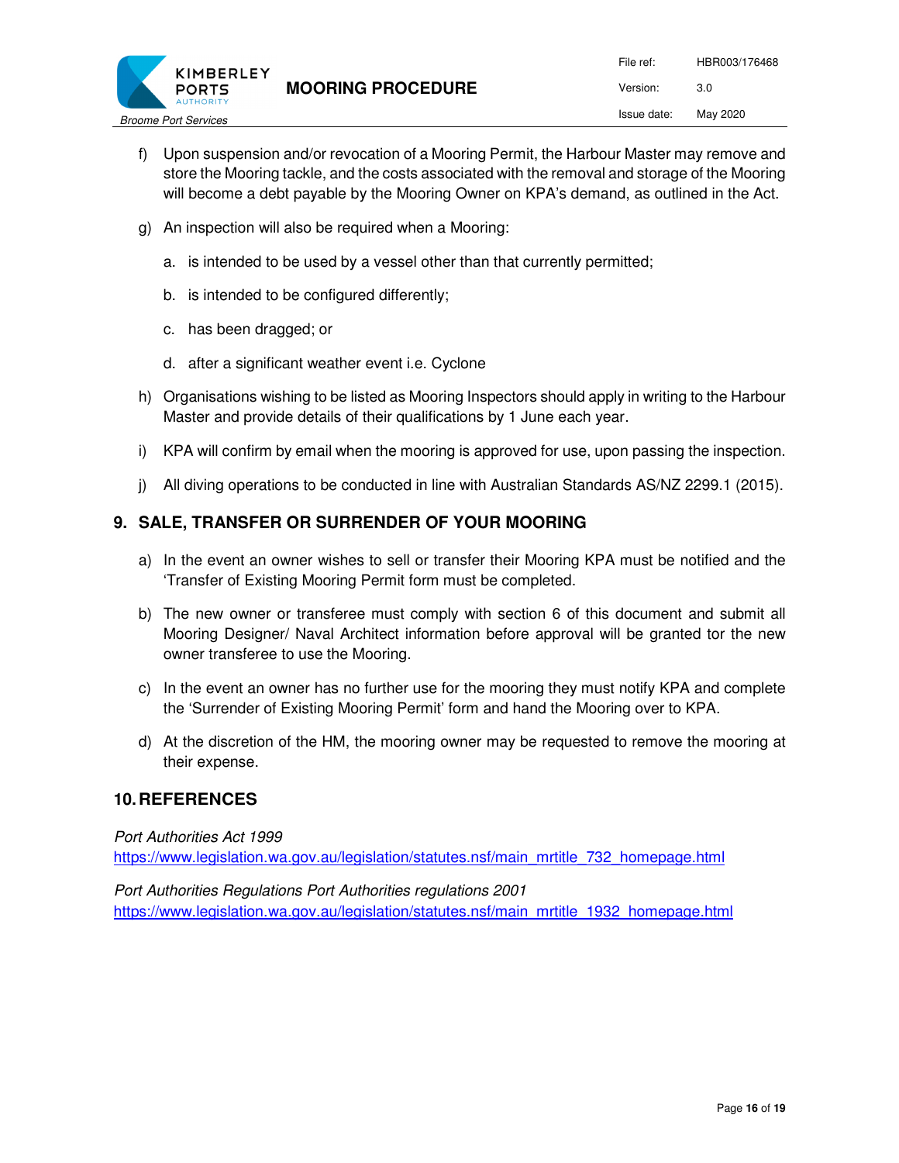

- f) Upon suspension and/or revocation of a Mooring Permit, the Harbour Master may remove and store the Mooring tackle, and the costs associated with the removal and storage of the Mooring will become a debt payable by the Mooring Owner on KPA's demand, as outlined in the Act.
- g) An inspection will also be required when a Mooring:
	- a. is intended to be used by a vessel other than that currently permitted;
	- b. is intended to be configured differently;
	- c. has been dragged; or
	- d. after a significant weather event i.e. Cyclone
- h) Organisations wishing to be listed as Mooring Inspectors should apply in writing to the Harbour Master and provide details of their qualifications by 1 June each year.
- i) KPA will confirm by email when the mooring is approved for use, upon passing the inspection.
- j) All diving operations to be conducted in line with Australian Standards AS/NZ 2299.1 (2015).

# **9. SALE, TRANSFER OR SURRENDER OF YOUR MOORING**

- a) In the event an owner wishes to sell or transfer their Mooring KPA must be notified and the 'Transfer of Existing Mooring Permit form must be completed.
- b) The new owner or transferee must comply with section 6 of this document and submit all Mooring Designer/ Naval Architect information before approval will be granted tor the new owner transferee to use the Mooring.
- c) In the event an owner has no further use for the mooring they must notify KPA and complete the 'Surrender of Existing Mooring Permit' form and hand the Mooring over to KPA.
- d) At the discretion of the HM, the mooring owner may be requested to remove the mooring at their expense.

## **10. REFERENCES**

#### Port Authorities Act 1999

https://www.legislation.wa.gov.au/legislation/statutes.nsf/main\_mrtitle\_732\_homepage.html

Port Authorities Regulations Port Authorities regulations 2001 https://www.legislation.wa.gov.au/legislation/statutes.nsf/main\_mrtitle\_1932\_homepage.html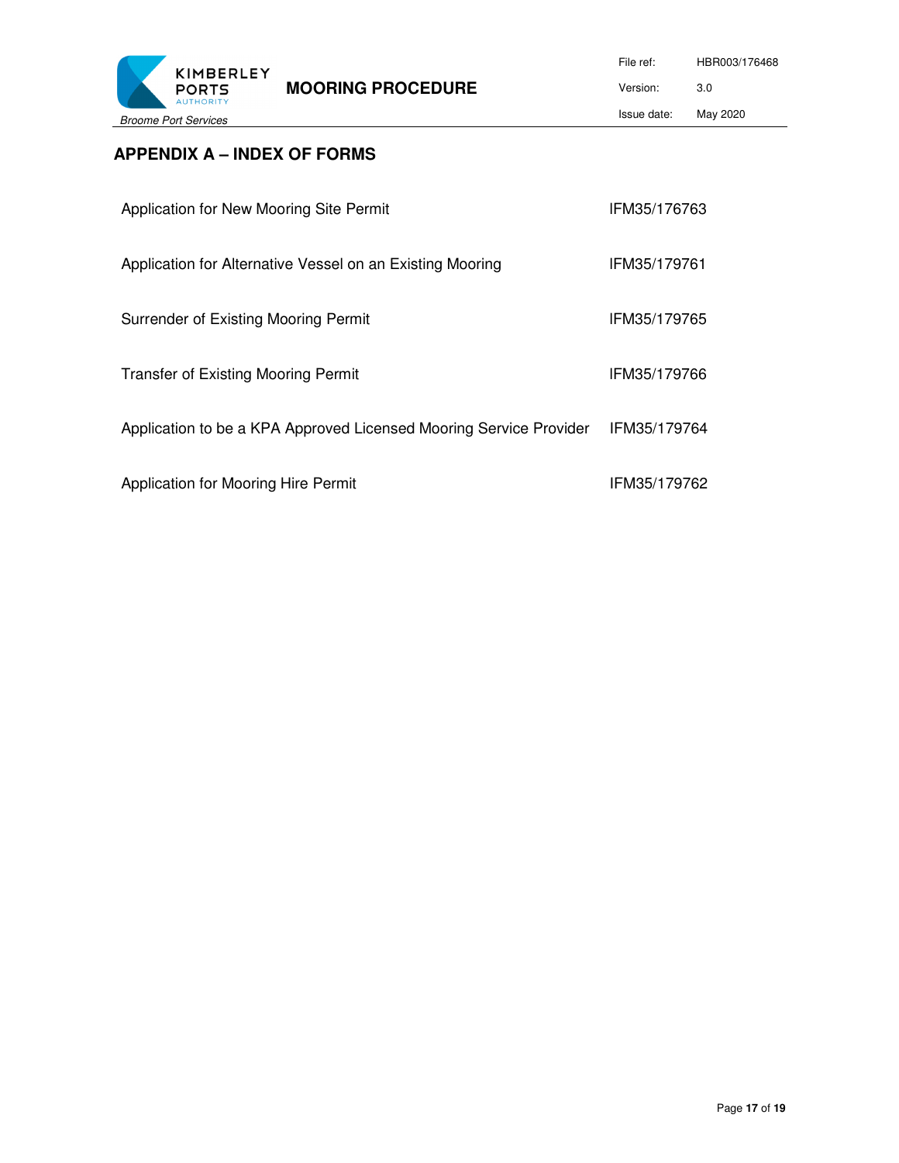

# **APPENDIX A – INDEX OF FORMS**

| Application for New Mooring Site Permit                            | IFM35/176763 |
|--------------------------------------------------------------------|--------------|
| Application for Alternative Vessel on an Existing Mooring          | IFM35/179761 |
| Surrender of Existing Mooring Permit                               | IFM35/179765 |
| <b>Transfer of Existing Mooring Permit</b>                         | IFM35/179766 |
| Application to be a KPA Approved Licensed Mooring Service Provider | IFM35/179764 |
| Application for Mooring Hire Permit                                | IFM35/179762 |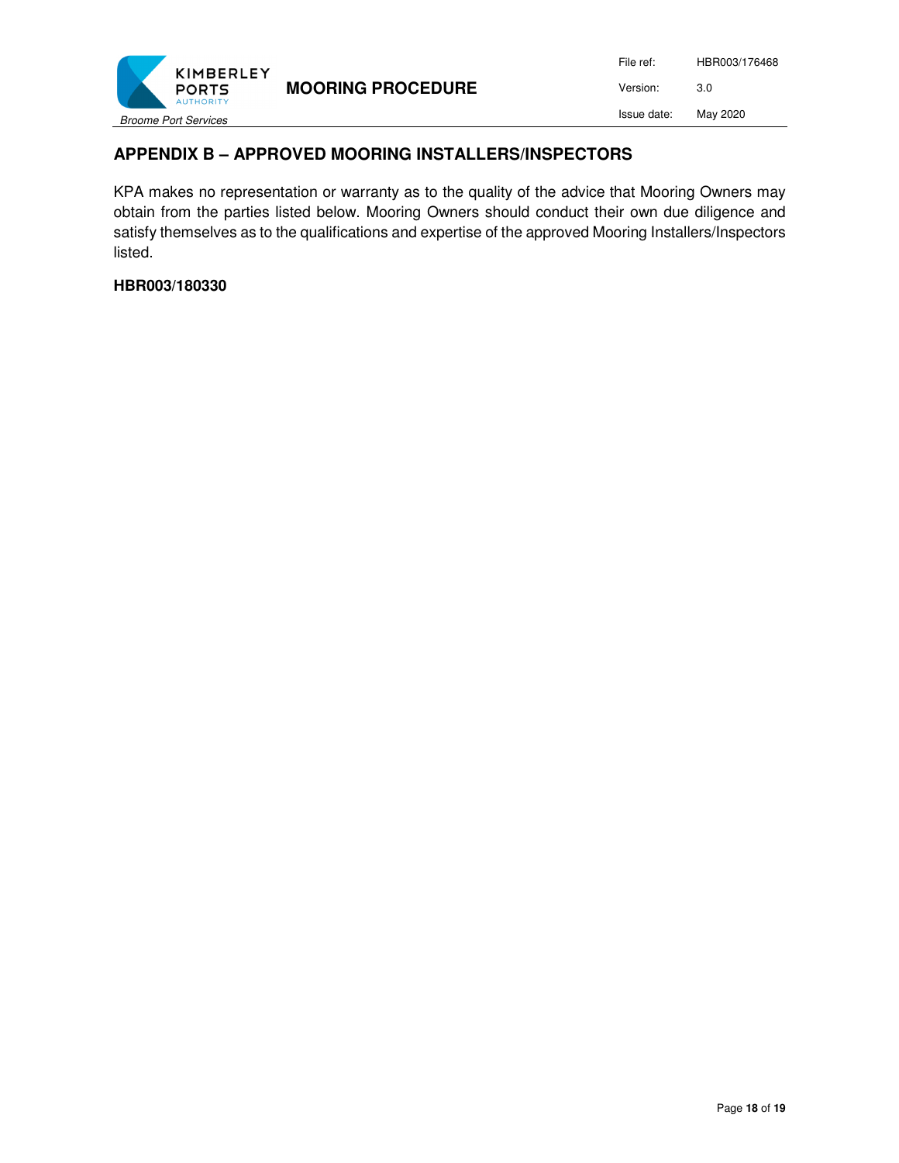

File ref: HBR003/176468 Version: 3.0 Issue date: May 2020

# **APPENDIX B – APPROVED MOORING INSTALLERS/INSPECTORS**

KPA makes no representation or warranty as to the quality of the advice that Mooring Owners may obtain from the parties listed below. Mooring Owners should conduct their own due diligence and satisfy themselves as to the qualifications and expertise of the approved Mooring Installers/Inspectors listed.

#### **HBR003/180330**